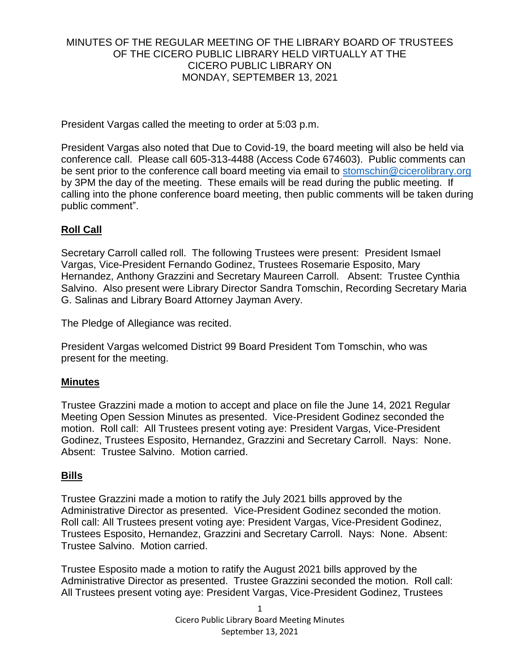#### MINUTES OF THE REGULAR MEETING OF THE LIBRARY BOARD OF TRUSTEES OF THE CICERO PUBLIC LIBRARY HELD VIRTUALLY AT THE CICERO PUBLIC LIBRARY ON MONDAY, SEPTEMBER 13, 2021

President Vargas called the meeting to order at 5:03 p.m.

President Vargas also noted that Due to Covid-19, the board meeting will also be held via conference call. Please call 605-313-4488 (Access Code 674603). Public comments can be sent prior to the conference call board meeting via email to [stomschin@cicerolibrary.org](mailto:stomschin@cicerolibrary.org) by 3PM the day of the meeting. These emails will be read during the public meeting. If calling into the phone conference board meeting, then public comments will be taken during public comment".

# **Roll Call**

Secretary Carroll called roll. The following Trustees were present: President Ismael Vargas, Vice-President Fernando Godinez, Trustees Rosemarie Esposito, Mary Hernandez, Anthony Grazzini and Secretary Maureen Carroll. Absent: Trustee Cynthia Salvino. Also present were Library Director Sandra Tomschin, Recording Secretary Maria G. Salinas and Library Board Attorney Jayman Avery.

The Pledge of Allegiance was recited.

President Vargas welcomed District 99 Board President Tom Tomschin, who was present for the meeting.

#### **Minutes**

Trustee Grazzini made a motion to accept and place on file the June 14, 2021 Regular Meeting Open Session Minutes as presented. Vice-President Godinez seconded the motion. Roll call: All Trustees present voting aye: President Vargas, Vice-President Godinez, Trustees Esposito, Hernandez, Grazzini and Secretary Carroll. Nays: None. Absent: Trustee Salvino. Motion carried.

## **Bills**

Trustee Grazzini made a motion to ratify the July 2021 bills approved by the Administrative Director as presented. Vice-President Godinez seconded the motion. Roll call: All Trustees present voting aye: President Vargas, Vice-President Godinez, Trustees Esposito, Hernandez, Grazzini and Secretary Carroll. Nays: None. Absent: Trustee Salvino. Motion carried.

Trustee Esposito made a motion to ratify the August 2021 bills approved by the Administrative Director as presented. Trustee Grazzini seconded the motion. Roll call: All Trustees present voting aye: President Vargas, Vice-President Godinez, Trustees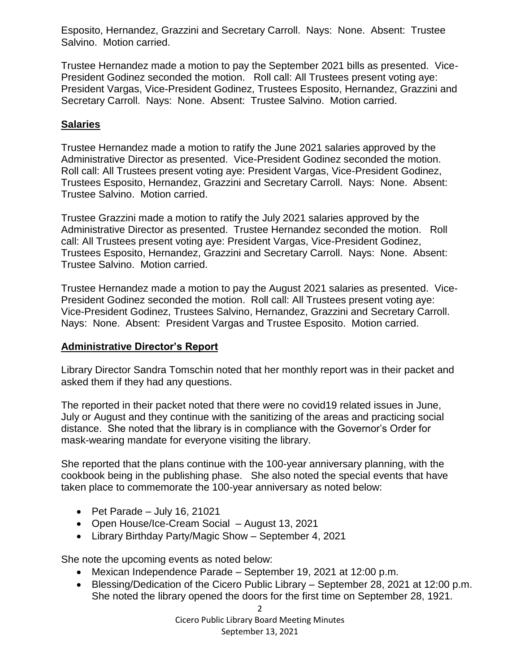Esposito, Hernandez, Grazzini and Secretary Carroll. Nays: None. Absent: Trustee Salvino. Motion carried.

Trustee Hernandez made a motion to pay the September 2021 bills as presented. Vice-President Godinez seconded the motion. Roll call: All Trustees present voting aye: President Vargas, Vice-President Godinez, Trustees Esposito, Hernandez, Grazzini and Secretary Carroll. Nays: None. Absent: Trustee Salvino. Motion carried.

## **Salaries**

Trustee Hernandez made a motion to ratify the June 2021 salaries approved by the Administrative Director as presented. Vice-President Godinez seconded the motion. Roll call: All Trustees present voting aye: President Vargas, Vice-President Godinez, Trustees Esposito, Hernandez, Grazzini and Secretary Carroll. Nays: None. Absent: Trustee Salvino. Motion carried.

Trustee Grazzini made a motion to ratify the July 2021 salaries approved by the Administrative Director as presented. Trustee Hernandez seconded the motion. Roll call: All Trustees present voting aye: President Vargas, Vice-President Godinez, Trustees Esposito, Hernandez, Grazzini and Secretary Carroll. Nays: None. Absent: Trustee Salvino. Motion carried.

Trustee Hernandez made a motion to pay the August 2021 salaries as presented. Vice-President Godinez seconded the motion. Roll call: All Trustees present voting aye: Vice-President Godinez, Trustees Salvino, Hernandez, Grazzini and Secretary Carroll. Nays: None. Absent: President Vargas and Trustee Esposito. Motion carried.

## **Administrative Director's Report**

Library Director Sandra Tomschin noted that her monthly report was in their packet and asked them if they had any questions.

The reported in their packet noted that there were no covid19 related issues in June, July or August and they continue with the sanitizing of the areas and practicing social distance. She noted that the library is in compliance with the Governor's Order for mask-wearing mandate for everyone visiting the library.

She reported that the plans continue with the 100-year anniversary planning, with the cookbook being in the publishing phase. She also noted the special events that have taken place to commemorate the 100-year anniversary as noted below:

- Pet Parade July 16, 21021
- Open House/Ice-Cream Social August 13, 2021
- Library Birthday Party/Magic Show September 4, 2021

She note the upcoming events as noted below:

- Mexican Independence Parade September 19, 2021 at 12:00 p.m.
- Blessing/Dedication of the Cicero Public Library September 28, 2021 at 12:00 p.m. She noted the library opened the doors for the first time on September 28, 1921.

Cicero Public Library Board Meeting Minutes September 13, 2021

2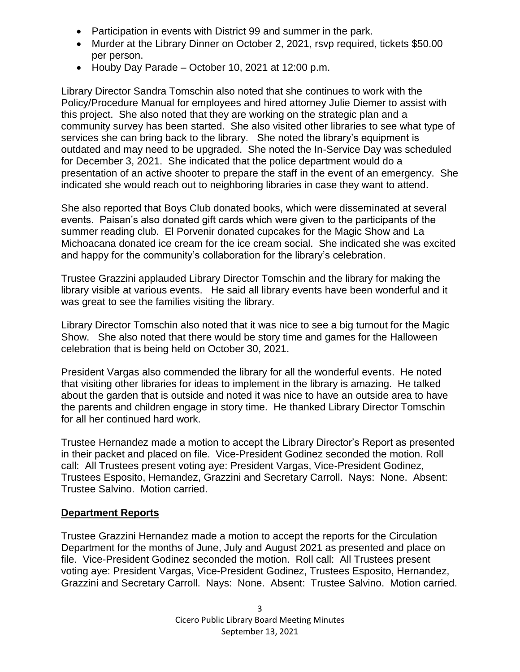- Participation in events with District 99 and summer in the park.
- Murder at the Library Dinner on October 2, 2021, rsvp required, tickets \$50.00 per person.
- Houby Day Parade October 10, 2021 at 12:00 p.m.

Library Director Sandra Tomschin also noted that she continues to work with the Policy/Procedure Manual for employees and hired attorney Julie Diemer to assist with this project. She also noted that they are working on the strategic plan and a community survey has been started. She also visited other libraries to see what type of services she can bring back to the library. She noted the library's equipment is outdated and may need to be upgraded. She noted the In-Service Day was scheduled for December 3, 2021. She indicated that the police department would do a presentation of an active shooter to prepare the staff in the event of an emergency. She indicated she would reach out to neighboring libraries in case they want to attend.

She also reported that Boys Club donated books, which were disseminated at several events. Paisan's also donated gift cards which were given to the participants of the summer reading club. El Porvenir donated cupcakes for the Magic Show and La Michoacana donated ice cream for the ice cream social. She indicated she was excited and happy for the community's collaboration for the library's celebration.

Trustee Grazzini applauded Library Director Tomschin and the library for making the library visible at various events. He said all library events have been wonderful and it was great to see the families visiting the library.

Library Director Tomschin also noted that it was nice to see a big turnout for the Magic Show. She also noted that there would be story time and games for the Halloween celebration that is being held on October 30, 2021.

President Vargas also commended the library for all the wonderful events. He noted that visiting other libraries for ideas to implement in the library is amazing. He talked about the garden that is outside and noted it was nice to have an outside area to have the parents and children engage in story time. He thanked Library Director Tomschin for all her continued hard work.

Trustee Hernandez made a motion to accept the Library Director's Report as presented in their packet and placed on file. Vice-President Godinez seconded the motion. Roll call: All Trustees present voting aye: President Vargas, Vice-President Godinez, Trustees Esposito, Hernandez, Grazzini and Secretary Carroll. Nays: None. Absent: Trustee Salvino. Motion carried.

#### **Department Reports**

Trustee Grazzini Hernandez made a motion to accept the reports for the Circulation Department for the months of June, July and August 2021 as presented and place on file. Vice-President Godinez seconded the motion. Roll call: All Trustees present voting aye: President Vargas, Vice-President Godinez, Trustees Esposito, Hernandez, Grazzini and Secretary Carroll. Nays: None. Absent: Trustee Salvino. Motion carried.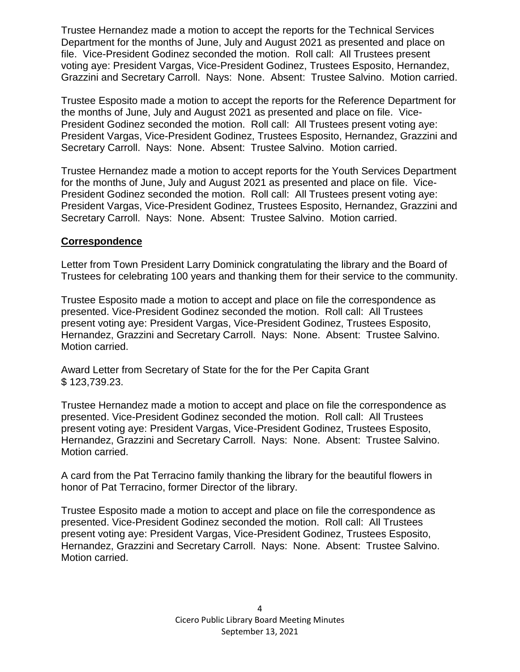Trustee Hernandez made a motion to accept the reports for the Technical Services Department for the months of June, July and August 2021 as presented and place on file. Vice-President Godinez seconded the motion. Roll call: All Trustees present voting aye: President Vargas, Vice-President Godinez, Trustees Esposito, Hernandez, Grazzini and Secretary Carroll. Nays: None. Absent: Trustee Salvino. Motion carried.

Trustee Esposito made a motion to accept the reports for the Reference Department for the months of June, July and August 2021 as presented and place on file. Vice-President Godinez seconded the motion. Roll call: All Trustees present voting aye: President Vargas, Vice-President Godinez, Trustees Esposito, Hernandez, Grazzini and Secretary Carroll. Nays: None. Absent: Trustee Salvino. Motion carried.

Trustee Hernandez made a motion to accept reports for the Youth Services Department for the months of June, July and August 2021 as presented and place on file. Vice-President Godinez seconded the motion. Roll call: All Trustees present voting aye: President Vargas, Vice-President Godinez, Trustees Esposito, Hernandez, Grazzini and Secretary Carroll. Nays: None. Absent: Trustee Salvino. Motion carried.

#### **Correspondence**

Letter from Town President Larry Dominick congratulating the library and the Board of Trustees for celebrating 100 years and thanking them for their service to the community.

Trustee Esposito made a motion to accept and place on file the correspondence as presented. Vice-President Godinez seconded the motion. Roll call: All Trustees present voting aye: President Vargas, Vice-President Godinez, Trustees Esposito, Hernandez, Grazzini and Secretary Carroll. Nays: None. Absent: Trustee Salvino. Motion carried.

Award Letter from Secretary of State for the for the Per Capita Grant \$ 123,739.23.

Trustee Hernandez made a motion to accept and place on file the correspondence as presented. Vice-President Godinez seconded the motion. Roll call: All Trustees present voting aye: President Vargas, Vice-President Godinez, Trustees Esposito, Hernandez, Grazzini and Secretary Carroll. Nays: None. Absent: Trustee Salvino. Motion carried.

A card from the Pat Terracino family thanking the library for the beautiful flowers in honor of Pat Terracino, former Director of the library.

Trustee Esposito made a motion to accept and place on file the correspondence as presented. Vice-President Godinez seconded the motion. Roll call: All Trustees present voting aye: President Vargas, Vice-President Godinez, Trustees Esposito, Hernandez, Grazzini and Secretary Carroll. Nays: None. Absent: Trustee Salvino. Motion carried.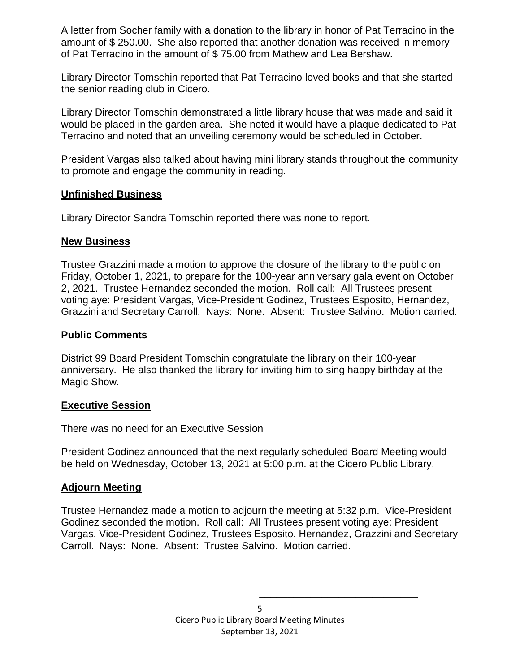A letter from Socher family with a donation to the library in honor of Pat Terracino in the amount of \$ 250.00. She also reported that another donation was received in memory of Pat Terracino in the amount of \$ 75.00 from Mathew and Lea Bershaw.

Library Director Tomschin reported that Pat Terracino loved books and that she started the senior reading club in Cicero.

Library Director Tomschin demonstrated a little library house that was made and said it would be placed in the garden area. She noted it would have a plaque dedicated to Pat Terracino and noted that an unveiling ceremony would be scheduled in October.

President Vargas also talked about having mini library stands throughout the community to promote and engage the community in reading.

#### **Unfinished Business**

Library Director Sandra Tomschin reported there was none to report.

## **New Business**

Trustee Grazzini made a motion to approve the closure of the library to the public on Friday, October 1, 2021, to prepare for the 100-year anniversary gala event on October 2, 2021. Trustee Hernandez seconded the motion. Roll call: All Trustees present voting aye: President Vargas, Vice-President Godinez, Trustees Esposito, Hernandez, Grazzini and Secretary Carroll. Nays: None. Absent: Trustee Salvino. Motion carried.

### **Public Comments**

District 99 Board President Tomschin congratulate the library on their 100-year anniversary. He also thanked the library for inviting him to sing happy birthday at the Magic Show.

## **Executive Session**

There was no need for an Executive Session

President Godinez announced that the next regularly scheduled Board Meeting would be held on Wednesday, October 13, 2021 at 5:00 p.m. at the Cicero Public Library.

## **Adjourn Meeting**

Trustee Hernandez made a motion to adjourn the meeting at 5:32 p.m. Vice-President Godinez seconded the motion. Roll call: All Trustees present voting aye: President Vargas, Vice-President Godinez, Trustees Esposito, Hernandez, Grazzini and Secretary Carroll. Nays: None. Absent: Trustee Salvino. Motion carried.

 $\overline{\phantom{a}}$  , and the contract of the contract of the contract of the contract of the contract of the contract of the contract of the contract of the contract of the contract of the contract of the contract of the contrac